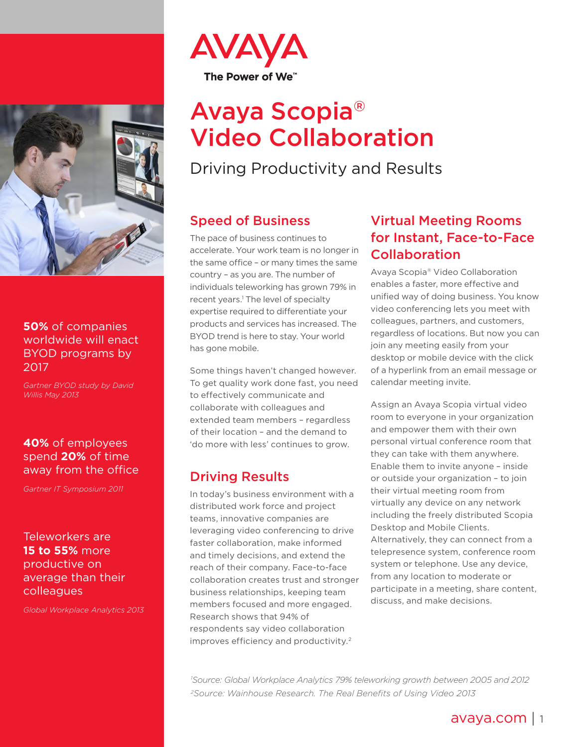

#### **50%** of companies worldwide will enact **BYOD** programs by 2017

*Gartner BYOD study by David 2013 May Willis*

#### **40%** of employees spend 20% of time away from the office

*2011 Symposium IT Gartner*

#### Teleworkers are **15 to 55% more** productive on average than their colleagues

*2013 Analytics Workplace Global*



# Avaya Scopia<sup>®</sup> **Video Collaboration**

Driving Productivity and Results

### **Speed of Business**

The pace of business continues to accelerate. Your work team is no longer in the same office – or many times the same country – as you are. The number of individuals teleworking has grown 79% in recent years.<sup>1</sup> The level of specialty expertise required to differentiate your products and services has increased. The BYOD trend is here to stay. Your world has gone mobile.

Some things haven't changed however. To get quality work done fast, you need to effectively communicate and collaborate with colleagues and extended team members - regardless of their location - and the demand to 'do more with less' continues to grow.

## **Driving Results**

In today's business environment with a distributed work force and project teams, innovative companies are leveraging video conferencing to drive faster collaboration, make informed and timely decisions, and extend the reach of their company. Face-to-face collaboration creates trust and stronger business relationships, keeping team members focused and more engaged. Research shows that 94% of respondents say video collaboration improves efficiency and productivity.<sup>2</sup>

# **Virtual Meeting Rooms** for Instant, Face-to-Face Collaboration

Avaya Scopia® Video Collaboration enables a faster, more effective and unified way of doing business. You know video conferencing lets you meet with colleagues, partners, and customers, regardless of locations. But now you can join any meeting easily from your desktop or mobile device with the click of a hyperlink from an email message or calendar meeting invite.

Assign an Avaya Scopia virtual video room to everyone in your organization and empower them with their own personal virtual conference room that they can take with them anywhere. Enable them to invite anyone - inside or outside your organization - to join their virtual meeting room from virtually any device on any network including the freely distributed Scopia Desktop and Mobile Clients. Alternatively, they can connect from a telepresence system, conference room system or telephone. Use any device, from any location to moderate or participate in a meeting, share content, discuss, and make decisions.

<sup>'</sup> Source: Global Workplace Analytics 79% teleworking growth between 2005 and 2012 <sup>2</sup> Source: Wainhouse Research. The Real Benefits of Using Video 2013